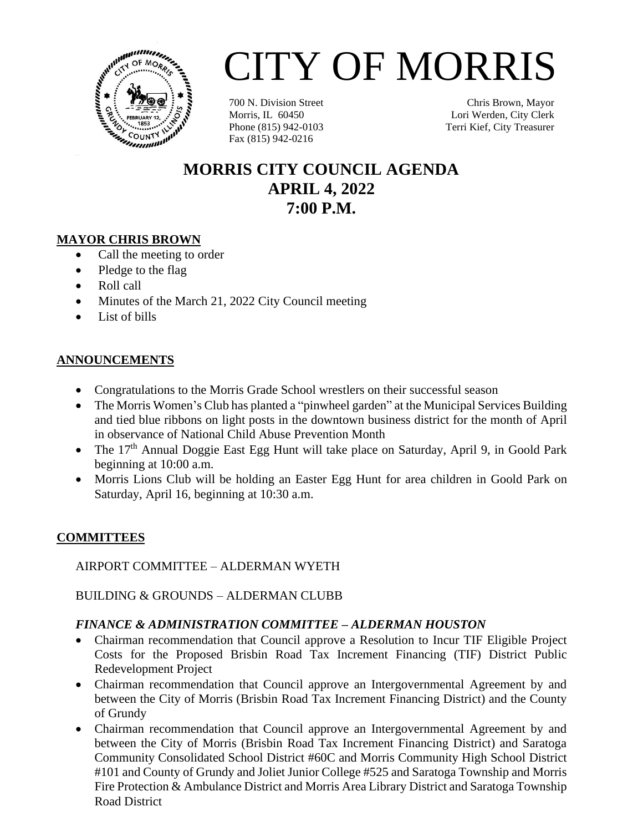

# CITY OF MORRIS

700 N. Division Street Morris, IL 60450 Phone (815) 942-0103 Fax (815) 942-0216

Chris Brown, Mayor Lori Werden, City Clerk Terri Kief, City Treasurer

# **MORRIS CITY COUNCIL AGENDA APRIL 4, 2022 7:00 P.M.**

# **MAYOR CHRIS BROWN**

- Call the meeting to order
- Pledge to the flag
- Roll call
- Minutes of the March 21, 2022 City Council meeting
- List of bills

# **ANNOUNCEMENTS**

- Congratulations to the Morris Grade School wrestlers on their successful season
- The Morris Women's Club has planted a "pinwheel garden" at the Municipal Services Building and tied blue ribbons on light posts in the downtown business district for the month of April in observance of National Child Abuse Prevention Month
- The 17<sup>th</sup> Annual Doggie East Egg Hunt will take place on Saturday, April 9, in Goold Park beginning at 10:00 a.m.
- Morris Lions Club will be holding an Easter Egg Hunt for area children in Goold Park on Saturday, April 16, beginning at 10:30 a.m.

#### **COMMITTEES**

AIRPORT COMMITTEE – ALDERMAN WYETH

BUILDING & GROUNDS – ALDERMAN CLUBB

# *FINANCE & ADMINISTRATION COMMITTEE – ALDERMAN HOUSTON*

- Chairman recommendation that Council approve a Resolution to Incur TIF Eligible Project Costs for the Proposed Brisbin Road Tax Increment Financing (TIF) District Public Redevelopment Project
- Chairman recommendation that Council approve an Intergovernmental Agreement by and between the City of Morris (Brisbin Road Tax Increment Financing District) and the County of Grundy
- Chairman recommendation that Council approve an Intergovernmental Agreement by and between the City of Morris (Brisbin Road Tax Increment Financing District) and Saratoga Community Consolidated School District #60C and Morris Community High School District #101 and County of Grundy and Joliet Junior College #525 and Saratoga Township and Morris Fire Protection & Ambulance District and Morris Area Library District and Saratoga Township Road District